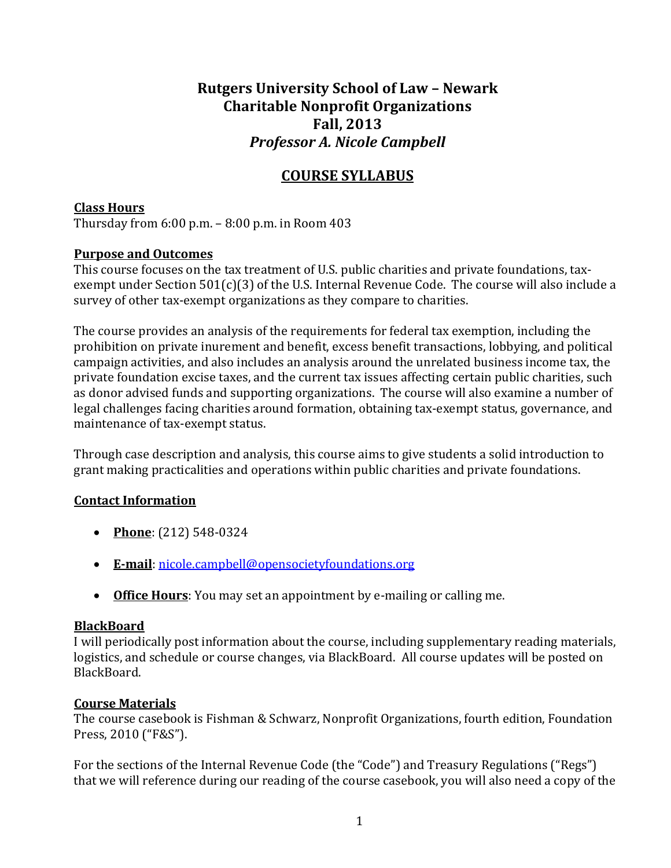# **Rutgers University School of Law – Newark Charitable Nonprofit Organizations Fall, 2013** *Professor A. Nicole Campbell*

# **COURSE SYLLABUS**

# **Class Hours**

Thursday from  $6:00$  p.m.  $-8:00$  p.m. in Room  $403$ 

# **Purpose and Outcomes**

This course focuses on the tax treatment of U.S. public charities and private foundations, taxexempt under Section  $501(c)(3)$  of the U.S. Internal Revenue Code. The course will also include a survey of other tax-exempt organizations as they compare to charities.

The course provides an analysis of the requirements for federal tax exemption, including the prohibition on private inurement and benefit, excess benefit transactions, lobbying, and political campaign activities, and also includes an analysis around the unrelated business income tax, the private foundation excise taxes, and the current tax issues affecting certain public charities, such as donor advised funds and supporting organizations. The course will also examine a number of legal challenges facing charities around formation, obtaining tax-exempt status, governance, and maintenance of tax-exempt status.

Through case description and analysis, this course aims to give students a solid introduction to grant making practicalities and operations within public charities and private foundations.

# **Contact Information**

- Phone: (212) 548-0324
- **E‐mail**: nicole.campbell@opensocietyfoundations.org
- Office Hours: You may set an appointment by e-mailing or calling me.

# **BlackBoard**

I will periodically post information about the course, including supplementary reading materials, logistics, and schedule or course changes, via BlackBoard. All course updates will be posted on BlackBoard. 

# **Course Materials**

The course casebook is Fishman & Schwarz, Nonprofit Organizations, fourth edition, Foundation Press, 2010 ("F&S").

For the sections of the Internal Revenue Code (the "Code") and Treasury Regulations ("Regs") that we will reference during our reading of the course casebook, you will also need a copy of the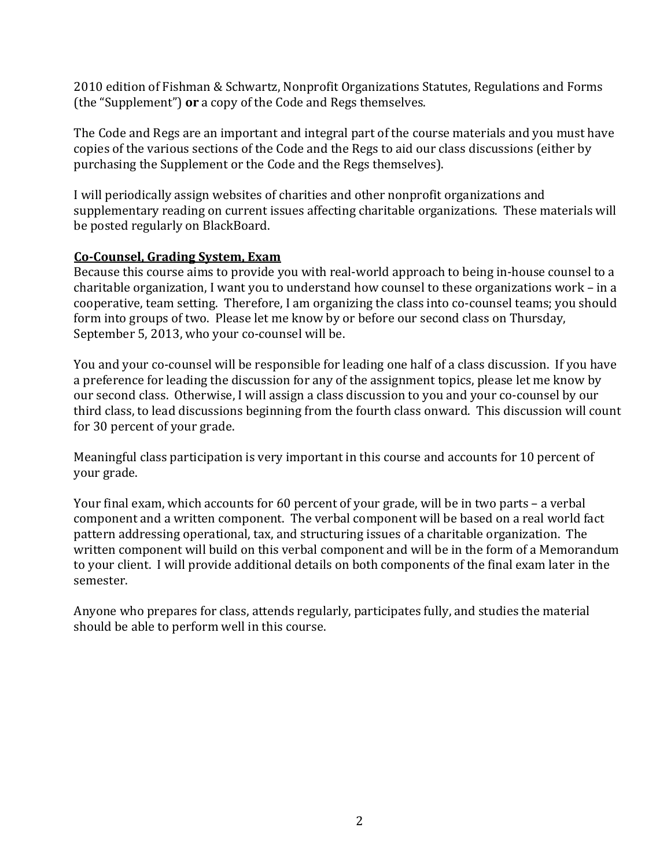2010 edition of Fishman & Schwartz, Nonprofit Organizations Statutes, Regulations and Forms (the "Supplement") **or** a copy of the Code and Regs themselves.

The Code and Regs are an important and integral part of the course materials and you must have copies of the various sections of the Code and the Regs to aid our class discussions (either by purchasing the Supplement or the Code and the Regs themselves).

I will periodically assign websites of charities and other nonprofit organizations and supplementary reading on current issues affecting charitable organizations. These materials will be posted regularly on BlackBoard.

#### **Co‐Counsel, Grading System, Exam**

Because this course aims to provide you with real-world approach to being in-house counsel to a charitable organization, I want you to understand how counsel to these organizations work - in a cooperative, team setting. Therefore, I am organizing the class into co-counsel teams; you should form into groups of two. Please let me know by or before our second class on Thursday, September 5, 2013, who your co-counsel will be.

You and your co-counsel will be responsible for leading one half of a class discussion. If you have a preference for leading the discussion for any of the assignment topics, please let me know by our second class. Otherwise, I will assign a class discussion to you and your co-counsel by our third class, to lead discussions beginning from the fourth class onward. This discussion will count for 30 percent of your grade.

Meaningful class participation is very important in this course and accounts for 10 percent of your grade.

Your final exam, which accounts for 60 percent of your grade, will be in two parts – a verbal component and a written component. The verbal component will be based on a real world fact pattern addressing operational, tax, and structuring issues of a charitable organization. The written component will build on this verbal component and will be in the form of a Memorandum to your client. I will provide additional details on both components of the final exam later in the semester. 

Anyone who prepares for class, attends regularly, participates fully, and studies the material should be able to perform well in this course.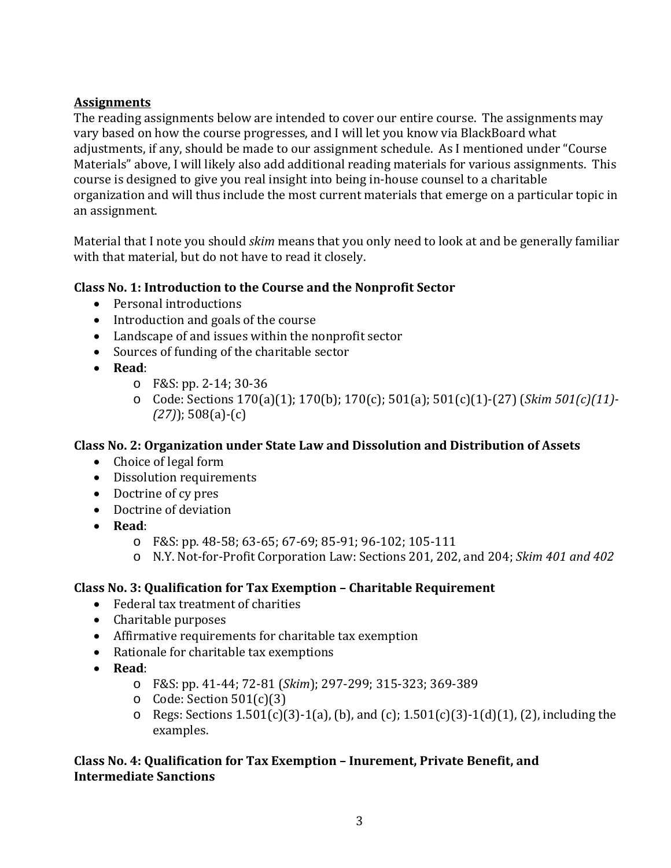# **Assignments**

The reading assignments below are intended to cover our entire course. The assignments may vary based on how the course progresses, and I will let you know via BlackBoard what adjustments, if any, should be made to our assignment schedule. As I mentioned under "Course Materials" above, I will likely also add additional reading materials for various assignments. This course is designed to give you real insight into being in-house counsel to a charitable organization and will thus include the most current materials that emerge on a particular topic in an assignment.

Material that I note you should *skim* means that you only need to look at and be generally familiar with that material, but do not have to read it closely.

# **Class No. 1: Introduction to the Course and the Nonprofit Sector**

- $\bullet$  Personal introductions
- Introduction and goals of the course
- Landscape of and issues within the nonprofit sector
- Sources of funding of the charitable sector
- **Read**:
	- o F&S: pp. 2‐14; 30‐36
	- o Code: Sections 170(a)(1); 170(b); 170(c); 501(a); 501(c)(1)‐(27) (*Skim 501(c)(11)‐ (27)*); 508(a)‐(c)

# **Class No. 2: Organization under State Law and Dissolution and Distribution of Assets**

- Choice of legal form
- Dissolution requirements
- Doctrine of cy pres
- Doctrine of deviation
- **Read**:
	- o F&S: pp. 48‐58; 63‐65; 67‐69; 85‐91; 96‐102; 105‐111
	- o N.Y. Not‐for‐Profit Corporation Law: Sections 201, 202, and 204; *Skim 401 and 402*

# **Class No. 3: Qualification for Tax Exemption – Charitable Requirement**

- Federal tax treatment of charities
- Charitable purposes
- Affirmative requirements for charitable tax exemption
- Rationale for charitable tax exemptions
- **Read**:
	- o F&S: pp. 41‐44; 72‐81 (*Skim*); 297‐299; 315‐323; 369‐389
	- $\circ$  Code: Section 501(c)(3)
	- o Regs: Sections  $1.501(c)(3) 1(a)$ , (b), and (c);  $1.501(c)(3) 1(d)(1)$ , (2), including the examples.

# **Class No. 4: Qualification for Tax Exemption – Inurement, Private Benefit, and Intermediate Sanctions**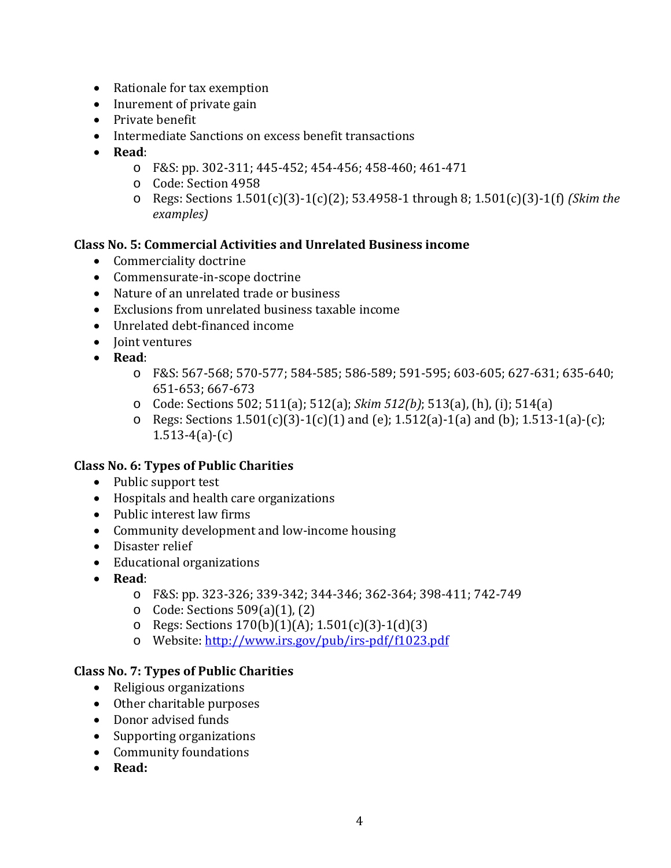- $\bullet$  Rationale for tax exemption
- Inurement of private gain
- Private benefit
- Intermediate Sanctions on excess benefit transactions
- **Read**:
	- o F&S: pp. 302‐311; 445‐452; 454‐456; 458‐460; 461‐471
	- o Code: Section 4958
	- o Regs: Sections 1.501(c)(3)‐1(c)(2); 53.4958‐1 through 8; 1.501(c)(3)‐1(f) *(Skim the examples)*

#### **Class No. 5: Commercial Activities and Unrelated Business income**

- Commerciality doctrine
- Commensurate-in-scope doctrine
- Nature of an unrelated trade or business
- $\bullet$  Exclusions from unrelated business taxable income
- Unrelated debt-financed income
- Ioint ventures
- **Read**:
	- $\circ$  F&S: 567-568; 570-577; 584-585; 586-589; 591-595; 603-605; 627-631; 635-640; 651‐653; 667‐673
	- o Code: Sections 502; 511(a); 512(a); *Skim 512(b)*; 513(a), (h), (i); 514(a)
	- o Regs: Sections  $1.501(c)(3)-1(c)(1)$  and (e);  $1.512(a)-1(a)$  and (b);  $1.513-1(a)-(c)$ ;  $1.513-4(a)-(c)$

#### **Class No. 6: Types of Public Charities**

- Public support test
- Hospitals and health care organizations
- Public interest law firms
- Community development and low-income housing
- Disaster relief
- Educational organizations
- **Read**:
	- o F&S: pp. 323‐326; 339‐342; 344‐346; 362‐364; 398‐411; 742‐749
	- $\circ$  Code: Sections 509(a)(1), (2)
	- o Regs: Sections  $170(b)(1)(A)$ ;  $1.501(c)(3)-1(d)(3)$
	- o Website: http://www.irs.gov/pub/irs-pdf/f1023.pdf

#### **Class No. 7: Types of Public Charities**

- Religious organizations
- $\bullet$  Other charitable purposes
- Donor advised funds
- Supporting organizations
- Community foundations
- **Read:**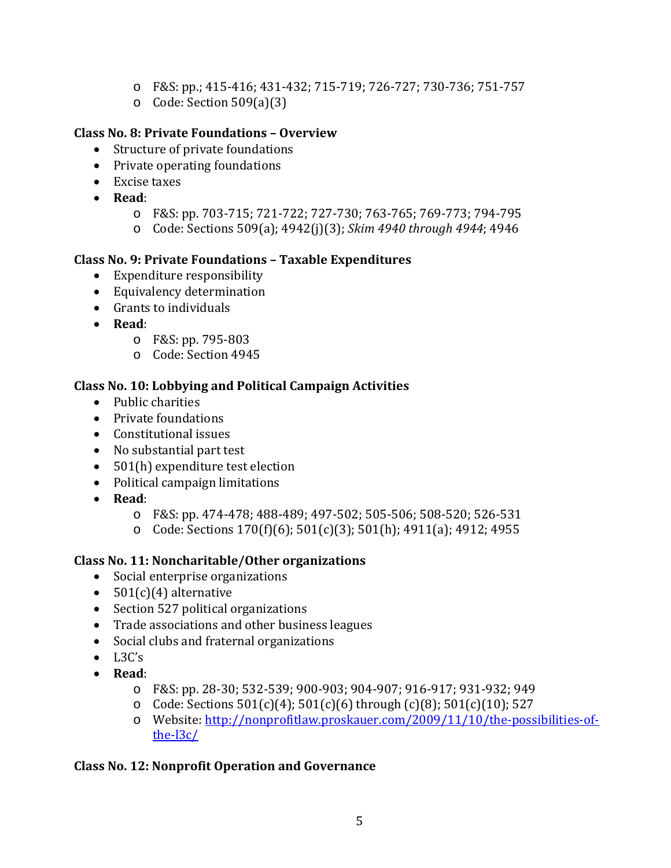- o F&S: pp.; 415‐416; 431‐432; 715‐719; 726‐727; 730‐736; 751‐757
- $\circ$  Code: Section 509(a)(3)

# **Class No. 8: Private Foundations – Overview**

- Structure of private foundations
- Private operating foundations
- $\bullet$  Excise taxes
- **Read**:
	- o F&S: pp. 703‐715; 721‐722; 727‐730; 763‐765; 769‐773; 794‐795
	- o Code: Sections 509(a); 4942(j)(3); *Skim 4940 through 4944*; 4946

#### **Class No. 9: Private Foundations – Taxable Expenditures**

- $\bullet$  Expenditure responsibility
- Equivalency determination
- $\bullet$  Grants to individuals
- **Read**:
	- o F&S: pp. 795‐803
	- o Code: Section 4945

# **Class No. 10: Lobbying and Political Campaign Activities**

- Public charities
- Private foundations
- Constitutional issues
- No substantial part test
- $\bullet$  501(h) expenditure test election
- Political campaign limitations
- **Read**:
	- o F&S: pp. 474‐478; 488‐489; 497‐502; 505‐506; 508‐520; 526‐531
	- o Code: Sections  $170(f)(6)$ ;  $501(c)(3)$ ;  $501(h)$ ;  $4911(a)$ ;  $4912$ ;  $4955$

# **Class No. 11: Noncharitable/Other organizations**

- Social enterprise organizations
- $501(c)(4)$  alternative
- Section 527 political organizations
- Trade associations and other business leagues
- Social clubs and fraternal organizations
- $\bullet$  L3C's
- **Read**:
	- o F&S: pp. 28‐30; 532‐539; 900‐903; 904‐907; 916‐917; 931‐932; 949
	- o Code: Sections  $501(c)(4)$ ;  $501(c)(6)$  through  $(c)(8)$ ;  $501(c)(10)$ ; 527
	- o Website: http://nonprofitlaw.proskauer.com/2009/11/10/the-possibilities-ofthe‐l3c/

# **Class No. 12: Nonprofit Operation and Governance**